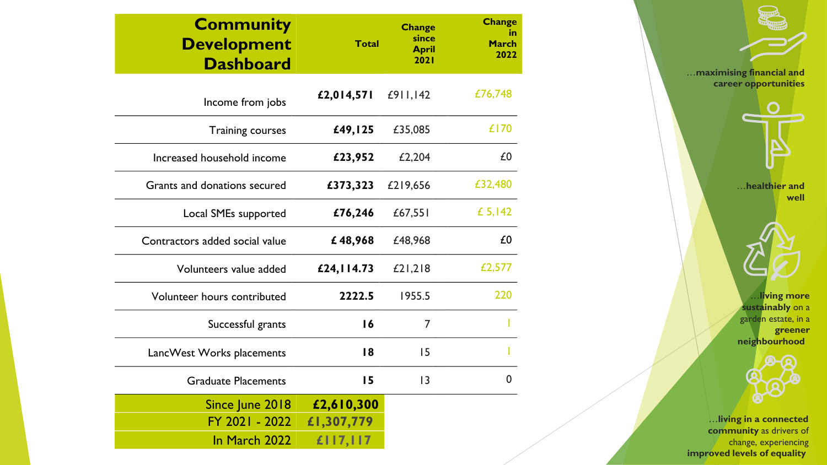| <b>Community</b><br><b>Development</b><br><b>Dashboard</b> | <b>Total</b> | <b>Change</b><br>since<br><b>April</b><br>2021 | <b>Change</b><br>in<br>March<br>2022 |
|------------------------------------------------------------|--------------|------------------------------------------------|--------------------------------------|
| Income from jobs                                           | £2,014,571   | £911,142                                       | £76,748                              |
| <b>Training courses</b>                                    | £49,125      | £35,085                                        | £170                                 |
| Increased household income                                 | £23,952      | £2,204                                         | £0                                   |
| Grants and donations secured                               | £373,323     | £219,656                                       | £32,480                              |
| Local SMEs supported                                       | £76,246      | £67,551                                        | £ 5,142                              |
| Contractors added social value                             | £48,968      | £48,968                                        | £0                                   |
| Volunteers value added                                     | £24, 114.73  | £21,218                                        | £2,577                               |
| Volunteer hours contributed                                | 2222.5       | 1955.5                                         | 220                                  |
| Successful grants                                          | 16           | 7                                              |                                      |
| LancWest Works placements                                  | 18           | 15                                             |                                      |
| <b>Graduate Placements</b>                                 | 15           | 3                                              | 0                                    |
| Since June 2018                                            | £2,610,300   |                                                |                                      |
| FY 2021 - 2022                                             | £1,307,779   |                                                |                                      |
| In March 2022                                              | £117,117     |                                                |                                      |

…**living more sustainably** on a garden estate, in a **greener neighbourhood** …**healthier and well** …**maximising financial and career opportunities**



…**living in a connected community** as drivers of change, experiencing **improved levels of equality**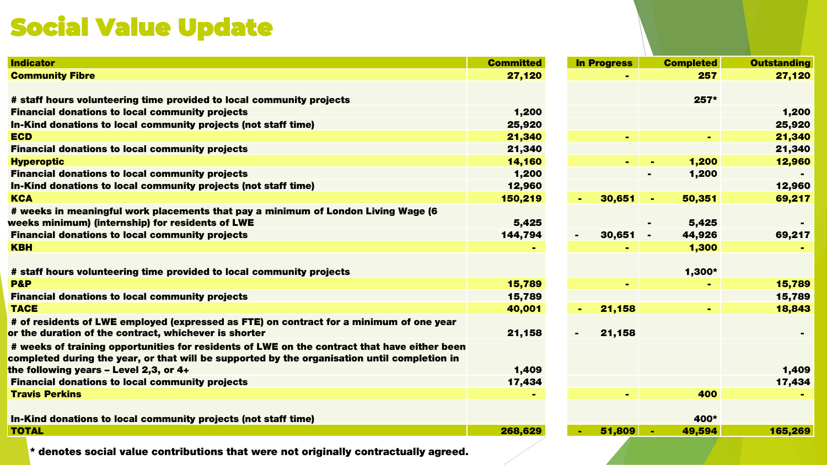# Social Value Update

| <b>Indicator</b>                                                                             | <b>Committed</b> | <b>In Progress</b> | <b>Completed</b>         | <b>Outstanding</b> |
|----------------------------------------------------------------------------------------------|------------------|--------------------|--------------------------|--------------------|
| <b>Community Fibre</b>                                                                       | 27,120           |                    | 257                      | 27,120             |
|                                                                                              |                  |                    |                          |                    |
| # staff hours volunteering time provided to local community projects                         |                  |                    | $257*$                   |                    |
| <b>Financial donations to local community projects</b>                                       | 1,200            |                    |                          | 1,200              |
| In-Kind donations to local community projects (not staff time)                               | 25,920           |                    |                          | 25,920             |
| <b>ECD</b>                                                                                   | 21,340           |                    |                          | 21,340             |
| <b>Financial donations to local community projects</b>                                       | 21,340           |                    |                          | 21,340             |
| <b>Hyperoptic</b>                                                                            | 14,160           | $\blacksquare$     | 1,200                    | 12,960             |
| <b>Financial donations to local community projects</b>                                       | 1,200            |                    | 1,200                    |                    |
| In-Kind donations to local community projects (not staff time)                               | 12,960           |                    |                          | 12,960             |
| <b>KCA</b>                                                                                   | 150,219          | 30,651<br>$\sim$   | 50,351                   | 69,217             |
| # weeks in meaningful work placements that pay a minimum of London Living Wage (6            |                  |                    |                          |                    |
| weeks minimum) (internship) for residents of LWE                                             | 5,425            |                    | 5,425                    |                    |
| <b>Financial donations to local community projects</b>                                       | 144,794          | 30,651<br>$\sim$   | 44,926<br>$\blacksquare$ | 69,217             |
| <b>KBH</b>                                                                                   |                  |                    | 1,300                    |                    |
|                                                                                              |                  |                    |                          |                    |
| # staff hours volunteering time provided to local community projects                         |                  |                    | 1,300*                   |                    |
| <b>P&amp;P</b>                                                                               | 15,789           |                    |                          | 15,789             |
| <b>Financial donations to local community projects</b>                                       | 15,789           |                    |                          | 15,789             |
| <b>TACE</b>                                                                                  | 40,001           | 21,158             |                          | 18,843             |
| # of residents of LWE employed (expressed as FTE) on contract for a minimum of one year      |                  |                    |                          |                    |
| or the duration of the contract, whichever is shorter                                        | 21,158           | 21,158             |                          |                    |
| # weeks of training opportunities for residents of LWE on the contract that have either been |                  |                    |                          |                    |
| completed during the year, or that will be supported by the organisation until completion in |                  |                    |                          |                    |
| the following years $-$ Level 2,3, or 4+                                                     | 1,409            |                    |                          | 1,409              |
| <b>Financial donations to local community projects</b>                                       | 17,434           |                    |                          | 17,434             |
| <b>Travis Perkins</b>                                                                        |                  |                    | 400                      |                    |
|                                                                                              |                  |                    |                          |                    |
| In-Kind donations to local community projects (not staff time)                               |                  |                    | 400*                     |                    |
| <b>TOTAL</b>                                                                                 | 268,629          | 51,809             | 49,594                   | 165,269            |
|                                                                                              |                  |                    |                          |                    |

**\* denotes social value contributions that were not originally contractually agreed.**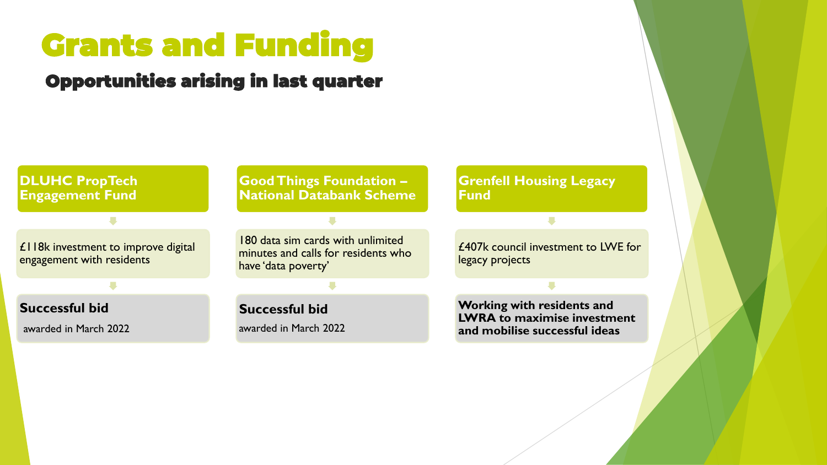# Grants and Funding

## Opportunities arising in last quarter



**Grenfell Housing Legacy** 

£407k council investment to LWE for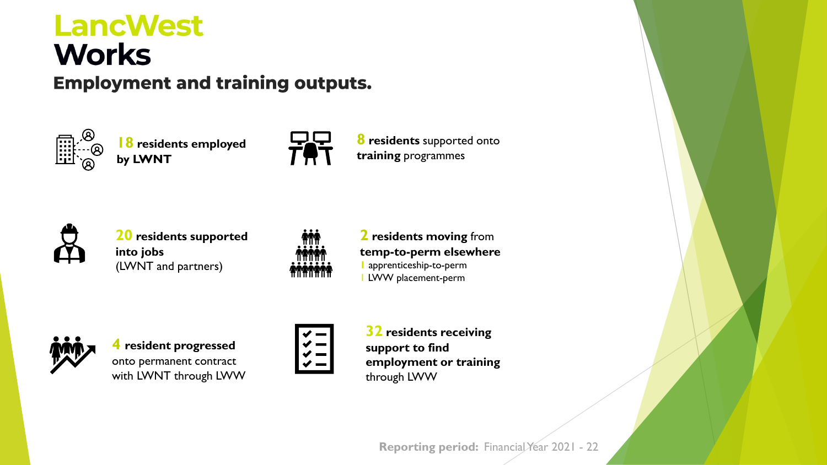# **LancWest Works Employment and training outputs.**



**18 residents employed by LWNT**



**8 residents** supported onto **training** programmes



**20 residents supported into jobs** (LWNT and partners)



#### **2 residents moving** from **temp-to-perm elsewhere 1** apprenticeship-to-perm 1 LWW placement-perm



**4 resident progressed**  onto permanent contract with LWNT through LWW



**32 residents receiving support to find employment or training** through LWW

**Reporting period: Financial Year 2021 - 22**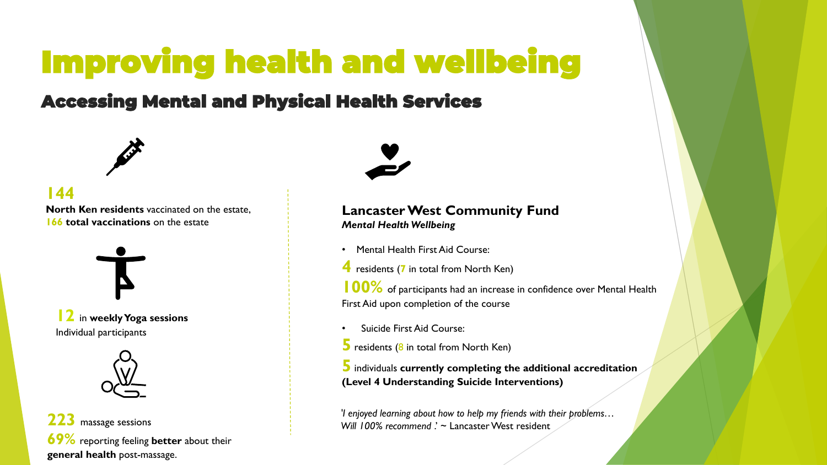# Improving health and wellbeing

## Accessing Mental and Physical Health Services



#### **144**

**North Ken residents** vaccinated on the estate, **166 total vaccinations** on the estate



**12** in **weekly Yoga sessions** Individual participants



**223** massage sessions **69%** reporting feeling **better** about their **general health** post-massage.



#### **Lancaster West Community Fund** *Mental Health Wellbeing*

- Mental Health First Aid Course:
- **4** residents (**<sup>7</sup>** in total from North Ken)

**100%** of participants had an increase in confidence over Mental Health First Aid upon completion of the course

- Suicide First Aid Course:
- **5** residents (8 in total from North Ken)

**5** individuals **currently completing the additional accreditation (Level 4 Understanding Suicide Interventions)**

*'I enjoyed learning about how to help my friends with their problems…*  Will 100% recommend ? ~ Lancaster West resident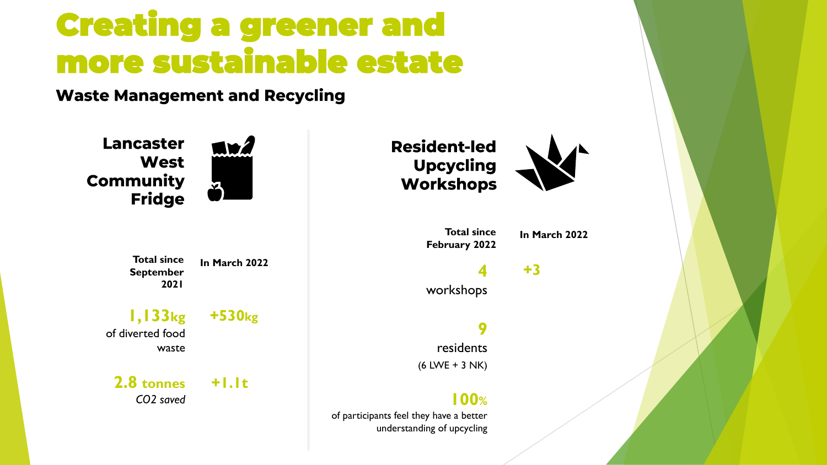# Creating a greener and more sustainable estate

**Waste Management and Recycling** 

**Lancaster West Community Fridge** 

**MWZ** 

**Total since September 2021**

**In March 2022**

**1,133kg** of diverted food waste

**2.8 tonnes** *CO2 saved*

**+530kg**

**+1.1t**

**9** residents (6 LWE + 3 NK)

### **100%**

of participants feel they have a better understanding of upcycling



**+3**

**In March 2022**

**4**

workshops

**Total since February 2022**